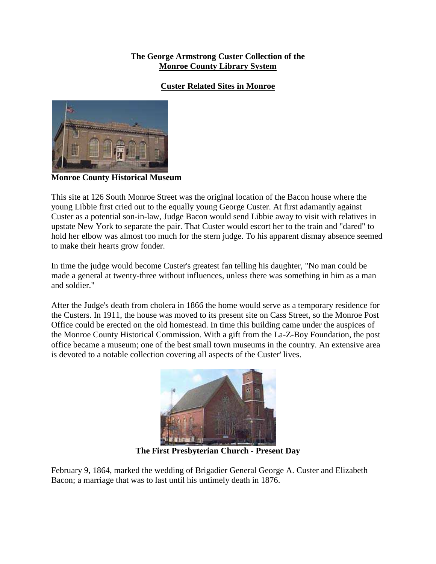### **The George Armstrong Custer Collection of the Monroe County Library System**

## **Custer Related Sites in Monroe**



**Monroe County Historical Museum**

This site at 126 South Monroe Street was the original location of the Bacon house where the young Libbie first cried out to the equally young George Custer. At first adamantly against Custer as a potential son-in-law, Judge Bacon would send Libbie away to visit with relatives in upstate New York to separate the pair. That Custer would escort her to the train and "dared" to hold her elbow was almost too much for the stern judge. To his apparent dismay absence seemed to make their hearts grow fonder.

In time the judge would become Custer's greatest fan telling his daughter, "No man could be made a general at twenty-three without influences, unless there was something in him as a man and soldier."

After the Judge's death from cholera in 1866 the home would serve as a temporary residence for the Custers. In 1911, the house was moved to its present site on Cass Street, so the Monroe Post Office could be erected on the old homestead. In time this building came under the auspices of the Monroe County Historical Commission. With a gift from the La-Z-Boy Foundation, the post office became a museum; one of the best small town museums in the country. An extensive area is devoted to a notable collection covering all aspects of the Custer' lives.



**The First Presbyterian Church - Present Day** 

February 9, 1864, marked the wedding of Brigadier General George A. Custer and Elizabeth Bacon; a marriage that was to last until his untimely death in 1876.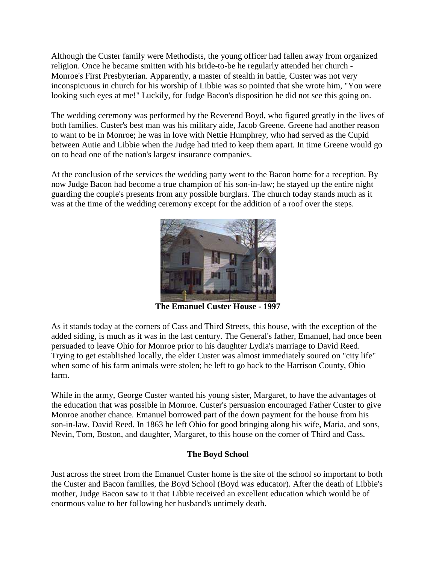Although the Custer family were Methodists, the young officer had fallen away from organized religion. Once he became smitten with his bride-to-be he regularly attended her church - Monroe's First Presbyterian. Apparently, a master of stealth in battle, Custer was not very inconspicuous in church for his worship of Libbie was so pointed that she wrote him, "You were looking such eyes at me!" Luckily, for Judge Bacon's disposition he did not see this going on.

The wedding ceremony was performed by the Reverend Boyd, who figured greatly in the lives of both families. Custer's best man was his military aide, Jacob Greene. Greene had another reason to want to be in Monroe; he was in love with Nettie Humphrey, who had served as the Cupid between Autie and Libbie when the Judge had tried to keep them apart. In time Greene would go on to head one of the nation's largest insurance companies.

At the conclusion of the services the wedding party went to the Bacon home for a reception. By now Judge Bacon had become a true champion of his son-in-law; he stayed up the entire night guarding the couple's presents from any possible burglars. The church today stands much as it was at the time of the wedding ceremony except for the addition of a roof over the steps.



**The Emanuel Custer House - 1997** 

As it stands today at the corners of Cass and Third Streets, this house, with the exception of the added siding, is much as it was in the last century. The General's father, Emanuel, had once been persuaded to leave Ohio for Monroe prior to his daughter Lydia's marriage to David Reed. Trying to get established locally, the elder Custer was almost immediately soured on "city life" when some of his farm animals were stolen; he left to go back to the Harrison County, Ohio farm.

While in the army, George Custer wanted his young sister, Margaret, to have the advantages of the education that was possible in Monroe. Custer's persuasion encouraged Father Custer to give Monroe another chance. Emanuel borrowed part of the down payment for the house from his son-in-law, David Reed. In 1863 he left Ohio for good bringing along his wife, Maria, and sons, Nevin, Tom, Boston, and daughter, Margaret, to this house on the corner of Third and Cass.

# **The Boyd School**

Just across the street from the Emanuel Custer home is the site of the school so important to both the Custer and Bacon families, the Boyd School (Boyd was educator). After the death of Libbie's mother, Judge Bacon saw to it that Libbie received an excellent education which would be of enormous value to her following her husband's untimely death.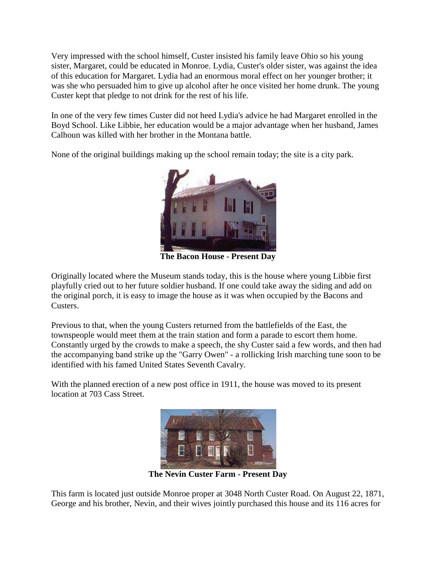Very impressed with the school himself, Custer insisted his family leave Ohio so his young sister, Margaret, could be educated in Monroe. Lydia, Custer's older sister, was against the idea of this education for Margaret. Lydia had an enormous moral effect on her younger brother; it was she who persuaded him to give up alcohol after he once visited her home drunk. The young Custer kept that pledge to not drink for the rest of his life.

In one of the very few times Custer did not heed Lydia's advice he had Margaret enrolled in the Boyd School. Like Libbie, her education would be a major advantage when her husband, James Calhoun was killed with her brother in the Montana battle.

None of the original buildings making up the school remain today; the site is a city park.



**The Bacon House - Present Day** 

Originally located where the Museum stands today, this is the house where young Libbie first playfully cried out to her future soldier husband. If one could take away the siding and add on the original porch, it is easy to image the house as it was when occupied by the Bacons and Custers.

Previous to that, when the young Custers returned from the battlefields of the East, the townspeople would meet them at the train station and form a parade to escort them home. Constantly urged by the crowds to make a speech, the shy Custer said a few words, and then had the accompanying band strike up the "Garry Owen" - a rollicking Irish marching tune soon to be identified with his famed United States Seventh Cavalry.

With the planned erection of a new post office in 1911, the house was moved to its present location at 703 Cass Street.



**The Nevin Custer Farm - Present Day** 

This farm is located just outside Monroe proper at 3048 North Custer Road. On August 22, 1871, George and his brother, Nevin, and their wives jointly purchased this house and its 116 acres for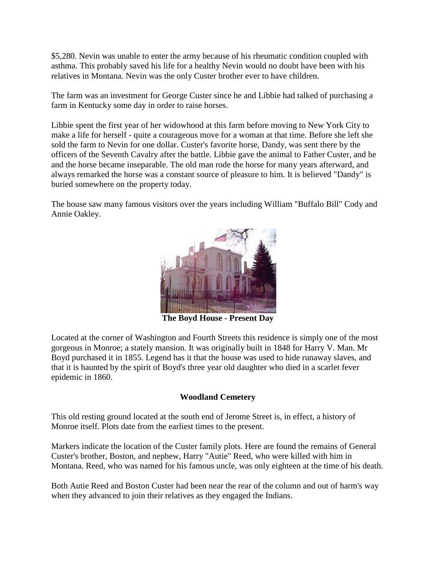\$5,280. Nevin was unable to enter the army because of his rheumatic condition coupled with asthma. This probably saved his life for a healthy Nevin would no doubt have been with his relatives in Montana. Nevin was the only Custer brother ever to have children.

The farm was an investment for George Custer since he and Libbie had talked of purchasing a farm in Kentucky some day in order to raise horses.

Libbie spent the first year of her widowhood at this farm before moving to New York City to make a life for herself - quite a courageous move for a woman at that time. Before she left she sold the farm to Nevin for one dollar. Custer's favorite horse, Dandy, was sent there by the officers of the Seventh Cavalry after the battle. Libbie gave the animal to Father Custer, and he and the horse became inseparable. The old man rode the horse for many years afterward, and always remarked the horse was a constant source of pleasure to him. It is believed "Dandy" is buried somewhere on the property today.

The house saw many famous visitors over the years including William "Buffalo Bill" Cody and Annie Oakley.



**The Boyd House - Present Day** 

Located at the corner of Washington and Fourth Streets this residence is simply one of the most gorgeous in Monroe; a stately mansion. It was originally built in 1848 for Harry V. Man. Mr Boyd purchased it in 1855. Legend has it that the house was used to hide runaway slaves, and that it is haunted by the spirit of Boyd's three year old daughter who died in a scarlet fever epidemic in 1860.

### **Woodland Cemetery**

This old resting ground located at the south end of Jerome Street is, in effect, a history of Monroe itself. Plots date from the earliest times to the present.

Markers indicate the location of the Custer family plots. Here are found the remains of General Custer's brother, Boston, and nephew, Harry "Autie" Reed, who were killed with him in Montana. Reed, who was named for his famous uncle, was only eighteen at the time of his death.

Both Autie Reed and Boston Custer had been near the rear of the column and out of harm's way when they advanced to join their relatives as they engaged the Indians.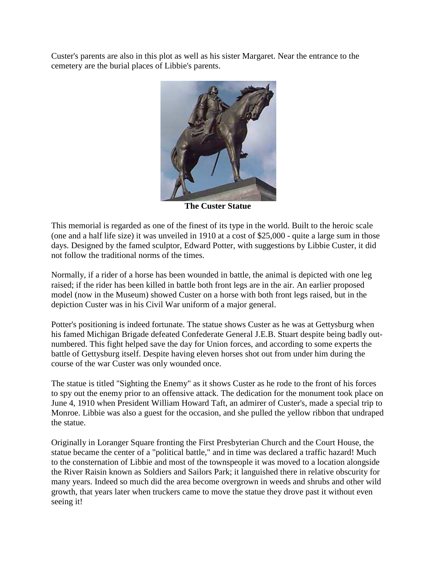Custer's parents are also in this plot as well as his sister Margaret. Near the entrance to the cemetery are the burial places of Libbie's parents.



**The Custer Statue**

This memorial is regarded as one of the finest of its type in the world. Built to the heroic scale (one and a half life size) it was unveiled in 1910 at a cost of \$25,000 - quite a large sum in those days. Designed by the famed sculptor, Edward Potter, with suggestions by Libbie Custer, it did not follow the traditional norms of the times.

Normally, if a rider of a horse has been wounded in battle, the animal is depicted with one leg raised; if the rider has been killed in battle both front legs are in the air. An earlier proposed model (now in the Museum) showed Custer on a horse with both front legs raised, but in the depiction Custer was in his Civil War uniform of a major general.

Potter's positioning is indeed fortunate. The statue shows Custer as he was at Gettysburg when his famed Michigan Brigade defeated Confederate General J.E.B. Stuart despite being badly outnumbered. This fight helped save the day for Union forces, and according to some experts the battle of Gettysburg itself. Despite having eleven horses shot out from under him during the course of the war Custer was only wounded once.

The statue is titled "Sighting the Enemy" as it shows Custer as he rode to the front of his forces to spy out the enemy prior to an offensive attack. The dedication for the monument took place on June 4, 1910 when President William Howard Taft, an admirer of Custer's, made a special trip to Monroe. Libbie was also a guest for the occasion, and she pulled the yellow ribbon that undraped the statue.

Originally in Loranger Square fronting the First Presbyterian Church and the Court House, the statue became the center of a "political battle," and in time was declared a traffic hazard! Much to the consternation of Libbie and most of the townspeople it was moved to a location alongside the River Raisin known as Soldiers and Sailors Park; it languished there in relative obscurity for many years. Indeed so much did the area become overgrown in weeds and shrubs and other wild growth, that years later when truckers came to move the statue they drove past it without even seeing it!